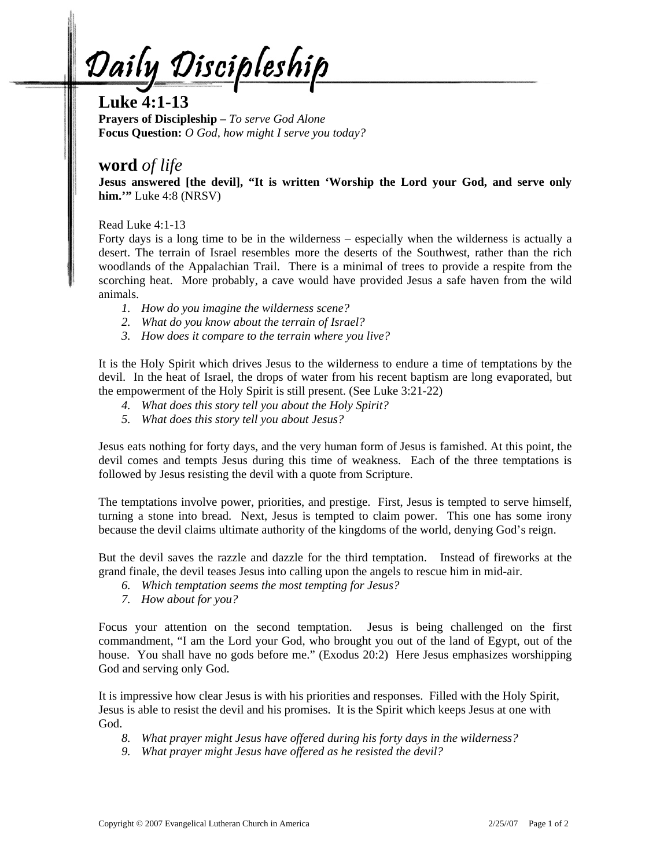Daily Discipleship

## **Luke 4:1-13**

**Prayers of Discipleship –** *To serve God Alone* **Focus Question:** *O God, how might I serve you today?*

## **word** *of life*

**Jesus answered [the devil], "It is written 'Worship the Lord your God, and serve only him.'"** Luke 4:8 (NRSV)

Read Luke 4:1-13

Forty days is a long time to be in the wilderness – especially when the wilderness is actually a desert. The terrain of Israel resembles more the deserts of the Southwest, rather than the rich woodlands of the Appalachian Trail. There is a minimal of trees to provide a respite from the scorching heat. More probably, a cave would have provided Jesus a safe haven from the wild animals.

- *1. How do you imagine the wilderness scene?*
- *2. What do you know about the terrain of Israel?*
- *3. How does it compare to the terrain where you live?*

It is the Holy Spirit which drives Jesus to the wilderness to endure a time of temptations by the devil. In the heat of Israel, the drops of water from his recent baptism are long evaporated, but the empowerment of the Holy Spirit is still present. (See Luke 3:21-22)

- *4. What does this story tell you about the Holy Spirit?*
- *5. What does this story tell you about Jesus?*

Jesus eats nothing for forty days, and the very human form of Jesus is famished. At this point, the devil comes and tempts Jesus during this time of weakness. Each of the three temptations is followed by Jesus resisting the devil with a quote from Scripture.

The temptations involve power, priorities, and prestige. First, Jesus is tempted to serve himself, turning a stone into bread. Next, Jesus is tempted to claim power. This one has some irony because the devil claims ultimate authority of the kingdoms of the world, denying God's reign.

But the devil saves the razzle and dazzle for the third temptation. Instead of fireworks at the grand finale, the devil teases Jesus into calling upon the angels to rescue him in mid-air.

- *6. Which temptation seems the most tempting for Jesus?*
- *7. How about for you?*

Focus your attention on the second temptation. Jesus is being challenged on the first commandment, "I am the Lord your God, who brought you out of the land of Egypt, out of the house. You shall have no gods before me." (Exodus 20:2) Here Jesus emphasizes worshipping God and serving only God.

It is impressive how clear Jesus is with his priorities and responses. Filled with the Holy Spirit, Jesus is able to resist the devil and his promises. It is the Spirit which keeps Jesus at one with God.

- *8. What prayer might Jesus have offered during his forty days in the wilderness?*
- *9. What prayer might Jesus have offered as he resisted the devil?*